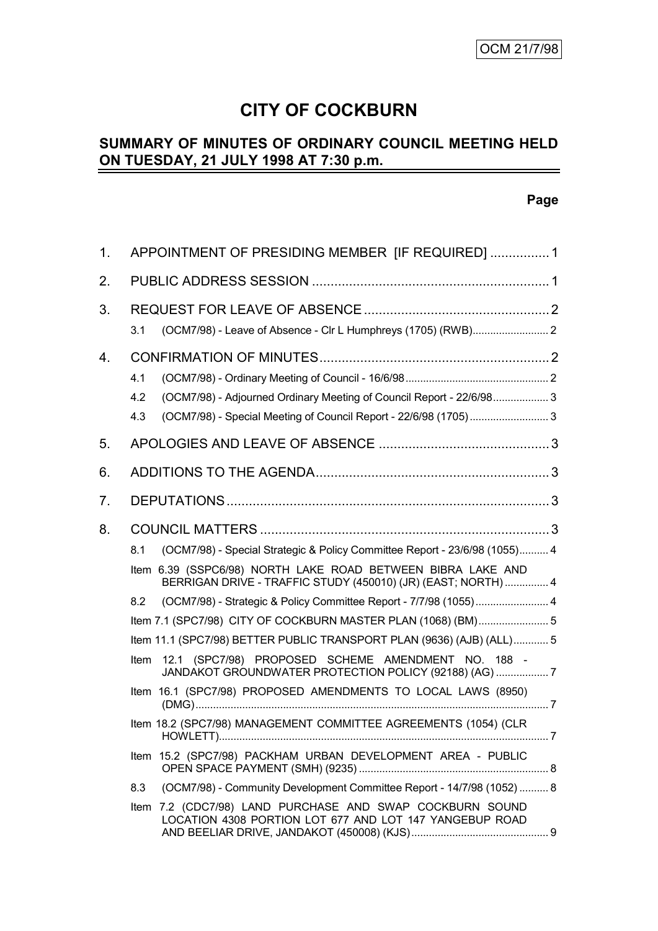# **CITY OF COCKBURN**

#### **SUMMARY OF MINUTES OF ORDINARY COUNCIL MEETING HELD ON TUESDAY, 21 JULY 1998 AT 7:30 p.m.** L

# **Page**

| 1. | APPOINTMENT OF PRESIDING MEMBER [IF REQUIRED]  1                                                                                                                                                                  |  |  |  |
|----|-------------------------------------------------------------------------------------------------------------------------------------------------------------------------------------------------------------------|--|--|--|
| 2. |                                                                                                                                                                                                                   |  |  |  |
| 3. | 3.1                                                                                                                                                                                                               |  |  |  |
| 4. | 4.1<br>(OCM7/98) - Adjourned Ordinary Meeting of Council Report - 22/6/98 3<br>4.2<br>(OCM7/98) - Special Meeting of Council Report - 22/6/98 (1705) 3<br>4.3                                                     |  |  |  |
| 5. |                                                                                                                                                                                                                   |  |  |  |
| 6. |                                                                                                                                                                                                                   |  |  |  |
| 7. |                                                                                                                                                                                                                   |  |  |  |
| 8. | (OCM7/98) - Special Strategic & Policy Committee Report - 23/6/98 (1055) 4<br>8.1                                                                                                                                 |  |  |  |
|    | Item 6.39 (SSPC6/98) NORTH LAKE ROAD BETWEEN BIBRA LAKE AND<br>BERRIGAN DRIVE - TRAFFIC STUDY (450010) (JR) (EAST; NORTH)  4                                                                                      |  |  |  |
|    | (OCM7/98) - Strategic & Policy Committee Report - 7/7/98 (1055) 4<br>8.2<br>Item 7.1 (SPC7/98) CITY OF COCKBURN MASTER PLAN (1068) (BM) 5<br>Item 11.1 (SPC7/98) BETTER PUBLIC TRANSPORT PLAN (9636) (AJB) (ALL)5 |  |  |  |
|    | 12.1 (SPC7/98) PROPOSED SCHEME AMENDMENT NO. 188 -<br><b>Item</b><br>JANDAKOT GROUNDWATER PROTECTION POLICY (92188) (AG)  7                                                                                       |  |  |  |
|    | Item 16.1 (SPC7/98) PROPOSED AMENDMENTS TO LOCAL LAWS (8950)                                                                                                                                                      |  |  |  |
|    | Item 18.2 (SPC7/98) MANAGEMENT COMMITTEE AGREEMENTS (1054) (CLR                                                                                                                                                   |  |  |  |
|    | Item 15.2 (SPC7/98) PACKHAM URBAN DEVELOPMENT AREA - PUBLIC                                                                                                                                                       |  |  |  |
|    | (OCM7/98) - Community Development Committee Report - 14/7/98 (1052)  8<br>8.3                                                                                                                                     |  |  |  |
|    | Item 7.2 (CDC7/98) LAND PURCHASE AND SWAP COCKBURN SOUND<br>LOCATION 4308 PORTION LOT 677 AND LOT 147 YANGEBUP ROAD                                                                                               |  |  |  |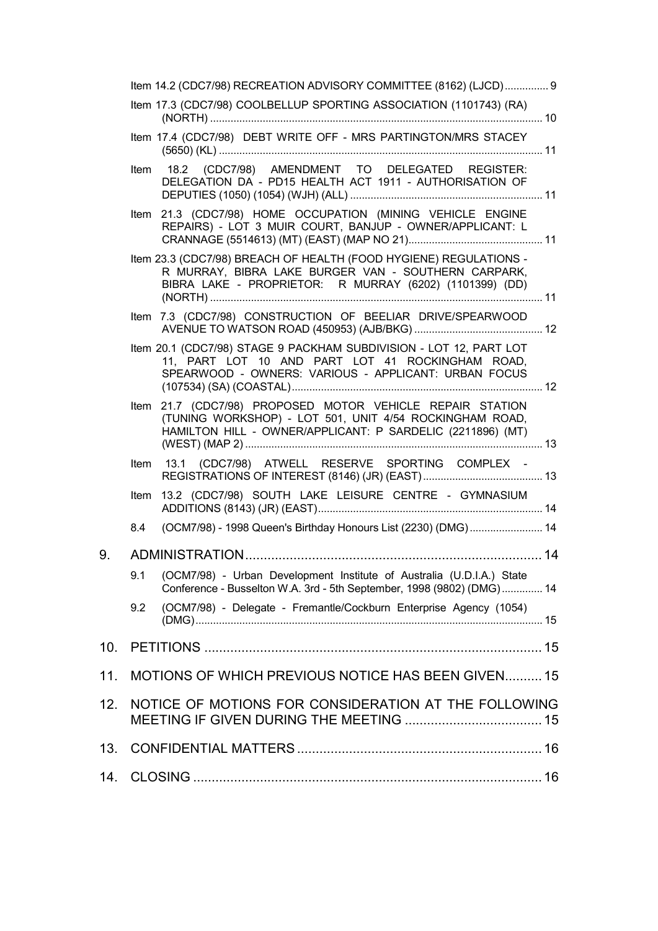|     | Item 14.2 (CDC7/98) RECREATION ADVISORY COMMITTEE (8162) (LJCD) 9 |                                                                                                                                                                                     |  |  |  |  |
|-----|-------------------------------------------------------------------|-------------------------------------------------------------------------------------------------------------------------------------------------------------------------------------|--|--|--|--|
|     |                                                                   | Item 17.3 (CDC7/98) COOLBELLUP SPORTING ASSOCIATION (1101743) (RA)                                                                                                                  |  |  |  |  |
|     |                                                                   | Item 17.4 (CDC7/98) DEBT WRITE OFF - MRS PARTINGTON/MRS STACEY                                                                                                                      |  |  |  |  |
|     |                                                                   | Item 18.2 (CDC7/98) AMENDMENT TO DELEGATED REGISTER:<br>DELEGATION DA - PD15 HEALTH ACT 1911 - AUTHORISATION OF                                                                     |  |  |  |  |
|     |                                                                   | Item 21.3 (CDC7/98) HOME OCCUPATION (MINING VEHICLE ENGINE<br>REPAIRS) - LOT 3 MUIR COURT, BANJUP - OWNER/APPLICANT: L                                                              |  |  |  |  |
|     |                                                                   | Item 23.3 (CDC7/98) BREACH OF HEALTH (FOOD HYGIENE) REGULATIONS -<br>R MURRAY, BIBRA LAKE BURGER VAN - SOUTHERN CARPARK,<br>BIBRA LAKE - PROPRIETOR: R MURRAY (6202) (1101399) (DD) |  |  |  |  |
|     |                                                                   | Item 7.3 (CDC7/98) CONSTRUCTION OF BEELIAR DRIVE/SPEARWOOD                                                                                                                          |  |  |  |  |
|     |                                                                   | Item 20.1 (CDC7/98) STAGE 9 PACKHAM SUBDIVISION - LOT 12, PART LOT<br>11, PART LOT 10 AND PART LOT 41 ROCKINGHAM ROAD,<br>SPEARWOOD - OWNERS: VARIOUS - APPLICANT: URBAN FOCUS      |  |  |  |  |
|     | Item                                                              | 21.7 (CDC7/98) PROPOSED MOTOR VEHICLE REPAIR STATION<br>(TUNING WORKSHOP) - LOT 501, UNIT 4/54 ROCKINGHAM ROAD,<br>HAMILTON HILL - OWNER/APPLICANT: P SARDELIC (2211896) (MT)       |  |  |  |  |
|     |                                                                   | Item 13.1 (CDC7/98) ATWELL RESERVE SPORTING COMPLEX -                                                                                                                               |  |  |  |  |
|     | Item                                                              | 13.2 (CDC7/98) SOUTH LAKE LEISURE CENTRE - GYMNASIUM                                                                                                                                |  |  |  |  |
|     | 8.4                                                               | (OCM7/98) - 1998 Queen's Birthday Honours List (2230) (DMG)  14                                                                                                                     |  |  |  |  |
| 9.  |                                                                   |                                                                                                                                                                                     |  |  |  |  |
|     |                                                                   | 9.1 (OCM7/98) - Urban Development Institute of Australia (U.D.I.A.) State<br>Conference - Busselton W.A. 3rd - 5th September, 1998 (9802) (DMG) 14                                  |  |  |  |  |
|     | 9.2                                                               | (OCM7/98) - Delegate - Fremantle/Cockburn Enterprise Agency (1054)                                                                                                                  |  |  |  |  |
| 10. |                                                                   |                                                                                                                                                                                     |  |  |  |  |
| 11. | MOTIONS OF WHICH PREVIOUS NOTICE HAS BEEN GIVEN15                 |                                                                                                                                                                                     |  |  |  |  |
| 12. | NOTICE OF MOTIONS FOR CONSIDERATION AT THE FOLLOWING              |                                                                                                                                                                                     |  |  |  |  |
| 13. |                                                                   |                                                                                                                                                                                     |  |  |  |  |
| 14. |                                                                   |                                                                                                                                                                                     |  |  |  |  |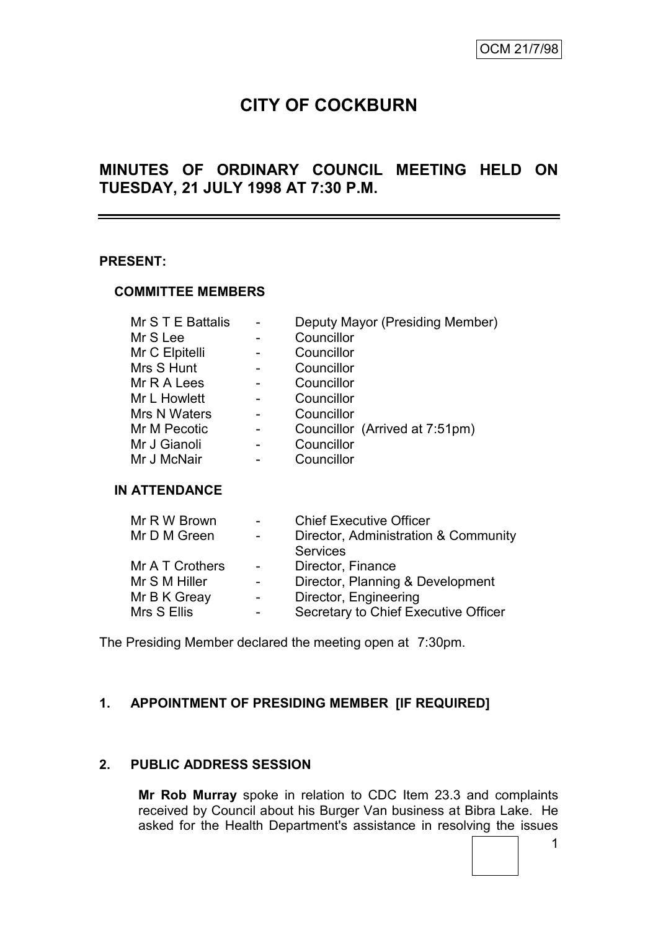# **CITY OF COCKBURN**

# **MINUTES OF ORDINARY COUNCIL MEETING HELD ON TUESDAY, 21 JULY 1998 AT 7:30 P.M.**

#### **PRESENT:**

#### **COMMITTEE MEMBERS**

| Mr S T E Battalis |  | Deputy Mayor (Presiding Member) |  |  |
|-------------------|--|---------------------------------|--|--|
| Mr S Lee          |  | Councillor                      |  |  |
| Mr C Elpitelli    |  | Councillor                      |  |  |
| Mrs S Hunt        |  | Councillor                      |  |  |
| Mr R A Lees       |  | Councillor                      |  |  |
| Mr L Howlett      |  | Councillor                      |  |  |
| Mrs N Waters      |  | Councillor                      |  |  |
| Mr M Pecotic      |  | Councillor (Arrived at 7:51pm)  |  |  |
| Mr J Gianoli      |  | Councillor                      |  |  |
| Mr J McNair       |  | Councillor                      |  |  |

#### **IN ATTENDANCE**

| Director, Administration & Community |
|--------------------------------------|
|                                      |
|                                      |
|                                      |
| Director, Planning & Development     |
|                                      |
| Secretary to Chief Executive Officer |
|                                      |

The Presiding Member declared the meeting open at 7:30pm.

#### **1. APPOINTMENT OF PRESIDING MEMBER [IF REQUIRED]**

#### **2. PUBLIC ADDRESS SESSION**

**Mr Rob Murray** spoke in relation to CDC Item 23.3 and complaints received by Council about his Burger Van business at Bibra Lake. He asked for the Health Department's assistance in resolving the issues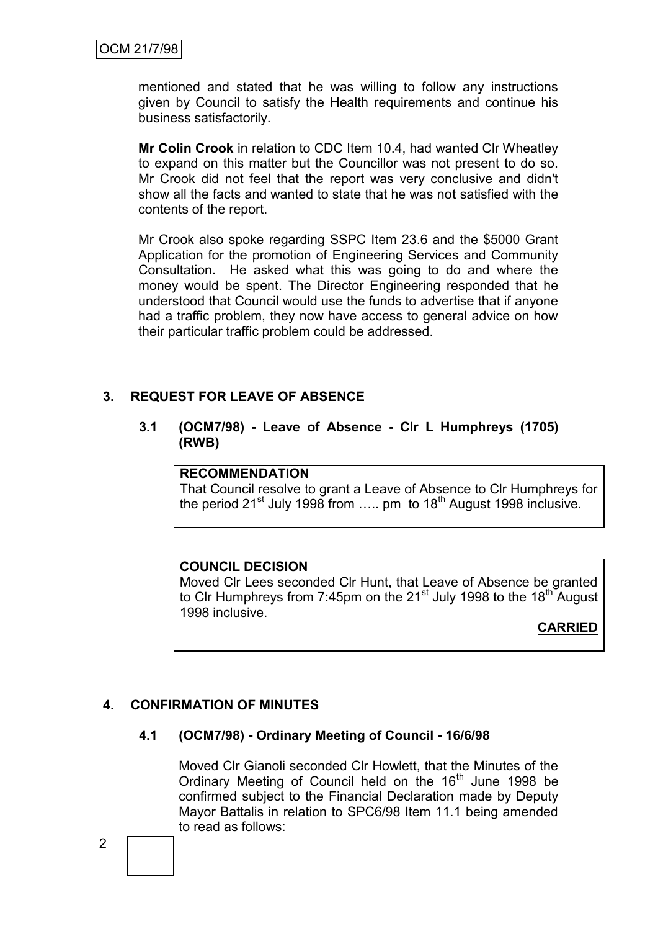mentioned and stated that he was willing to follow any instructions given by Council to satisfy the Health requirements and continue his business satisfactorily.

**Mr Colin Crook** in relation to CDC Item 10.4, had wanted Clr Wheatley to expand on this matter but the Councillor was not present to do so. Mr Crook did not feel that the report was very conclusive and didn't show all the facts and wanted to state that he was not satisfied with the contents of the report.

Mr Crook also spoke regarding SSPC Item 23.6 and the \$5000 Grant Application for the promotion of Engineering Services and Community Consultation. He asked what this was going to do and where the money would be spent. The Director Engineering responded that he understood that Council would use the funds to advertise that if anyone had a traffic problem, they now have access to general advice on how their particular traffic problem could be addressed.

#### **3. REQUEST FOR LEAVE OF ABSENCE**

**3.1 (OCM7/98) - Leave of Absence - Clr L Humphreys (1705) (RWB)**

#### **RECOMMENDATION**

That Council resolve to grant a Leave of Absence to Clr Humphreys for the period  $21^{st}$  July 1998 from ..... pm to  $18^{th}$  August 1998 inclusive.

#### **COUNCIL DECISION**

Moved Clr Lees seconded Clr Hunt, that Leave of Absence be granted to Clr Humphreys from 7:45pm on the 21 $^{\rm st}$  July 1998 to the 18<sup>th</sup> August 1998 inclusive.

# **CARRIED**

# **4. CONFIRMATION OF MINUTES**

#### **4.1 (OCM7/98) - Ordinary Meeting of Council - 16/6/98**

Moved Clr Gianoli seconded Clr Howlett, that the Minutes of the Ordinary Meeting of Council held on the  $16<sup>th</sup>$  June 1998 be confirmed subject to the Financial Declaration made by Deputy Mayor Battalis in relation to SPC6/98 Item 11.1 being amended to read as follows: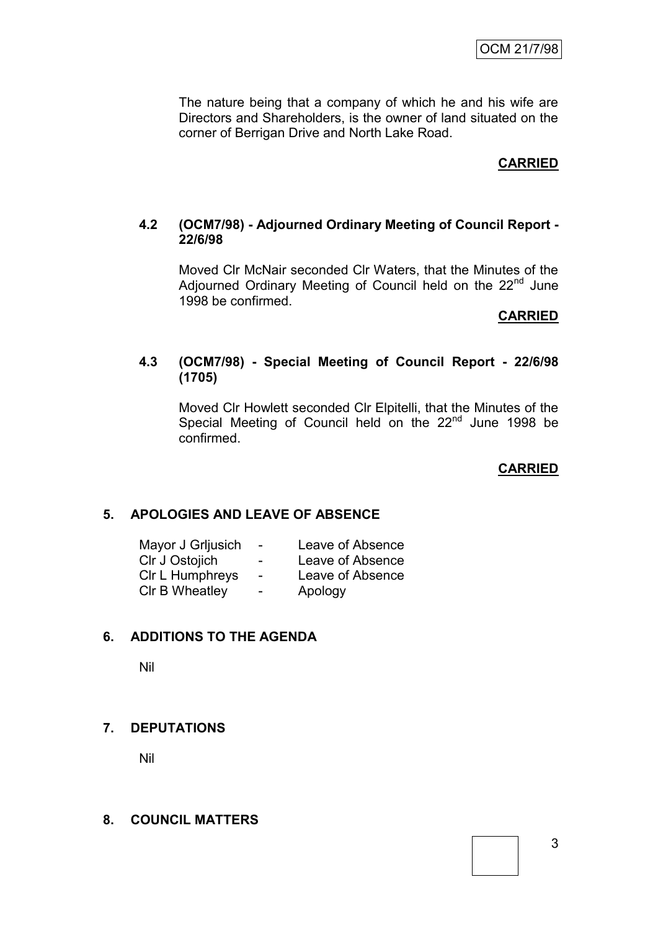The nature being that a company of which he and his wife are Directors and Shareholders, is the owner of land situated on the corner of Berrigan Drive and North Lake Road.

# **CARRIED**

# **4.2 (OCM7/98) - Adjourned Ordinary Meeting of Council Report - 22/6/98**

Moved Clr McNair seconded Clr Waters, that the Minutes of the Adjourned Ordinary Meeting of Council held on the 22<sup>nd</sup> June 1998 be confirmed.

#### **CARRIED**

#### **4.3 (OCM7/98) - Special Meeting of Council Report - 22/6/98 (1705)**

Moved Clr Howlett seconded Clr Elpitelli, that the Minutes of the Special Meeting of Council held on the 22<sup>nd</sup> June 1998 be confirmed.

**CARRIED**

#### **5. APOLOGIES AND LEAVE OF ABSENCE**

| Mayor J Grijusich | $\blacksquare$ | Leave of Absence |
|-------------------|----------------|------------------|
| CIr J Ostojich    | ۰.             | Leave of Absence |
| CIr L Humphreys   | $\blacksquare$ | Leave of Absence |
| CIr B Wheatley    | -              | Apology          |

#### **6. ADDITIONS TO THE AGENDA**

Nil

#### **7. DEPUTATIONS**

Nil

#### **8. COUNCIL MATTERS**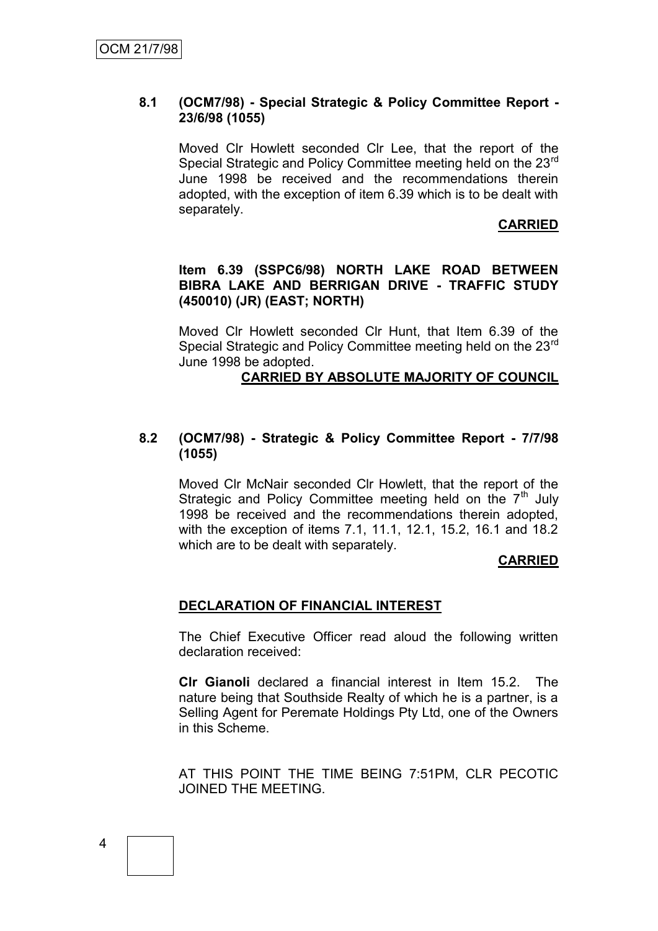#### **8.1 (OCM7/98) - Special Strategic & Policy Committee Report - 23/6/98 (1055)**

Moved Clr Howlett seconded Clr Lee, that the report of the Special Strategic and Policy Committee meeting held on the 23<sup>rd</sup> June 1998 be received and the recommendations therein adopted, with the exception of item 6.39 which is to be dealt with separately.

#### **CARRIED**

#### **Item 6.39 (SSPC6/98) NORTH LAKE ROAD BETWEEN BIBRA LAKE AND BERRIGAN DRIVE - TRAFFIC STUDY (450010) (JR) (EAST; NORTH)**

Moved Clr Howlett seconded Clr Hunt, that Item 6.39 of the Special Strategic and Policy Committee meeting held on the 23<sup>rd</sup> June 1998 be adopted.

#### **CARRIED BY ABSOLUTE MAJORITY OF COUNCIL**

#### **8.2 (OCM7/98) - Strategic & Policy Committee Report - 7/7/98 (1055)**

Moved Clr McNair seconded Clr Howlett, that the report of the Strategic and Policy Committee meeting held on the  $7<sup>th</sup>$  July 1998 be received and the recommendations therein adopted, with the exception of items 7.1, 11.1, 12.1, 15.2, 16.1 and 18.2 which are to be dealt with separately.

#### **CARRIED**

#### **DECLARATION OF FINANCIAL INTEREST**

The Chief Executive Officer read aloud the following written declaration received:

**Clr Gianoli** declared a financial interest in Item 15.2. The nature being that Southside Realty of which he is a partner, is a Selling Agent for Peremate Holdings Pty Ltd, one of the Owners in this Scheme.

AT THIS POINT THE TIME BEING 7:51PM, CLR PECOTIC JOINED THE MEETING.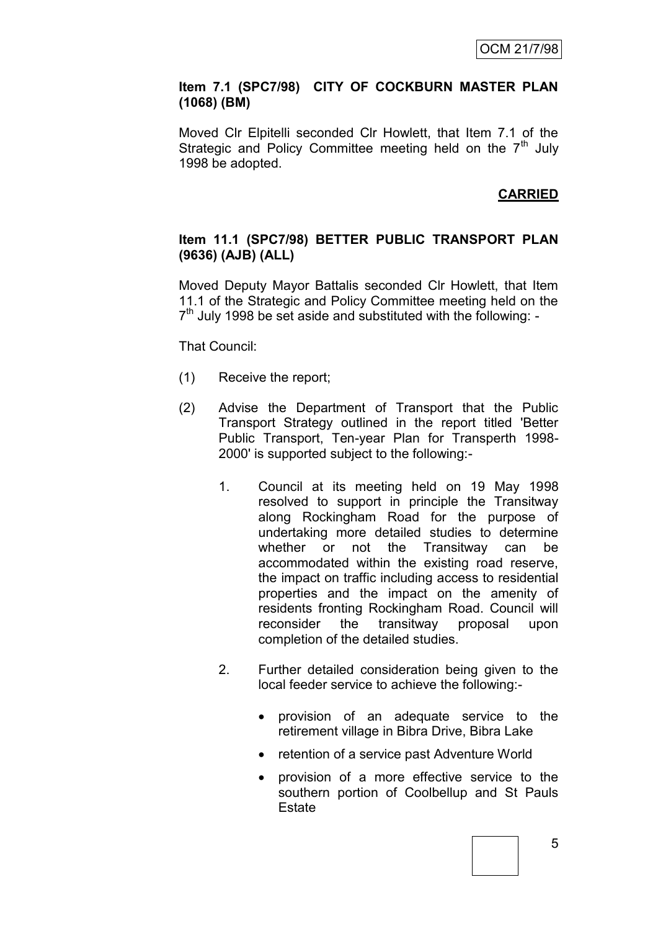#### **Item 7.1 (SPC7/98) CITY OF COCKBURN MASTER PLAN (1068) (BM)**

Moved Clr Elpitelli seconded Clr Howlett, that Item 7.1 of the Strategic and Policy Committee meeting held on the  $7<sup>th</sup>$  July 1998 be adopted.

# **CARRIED**

#### **Item 11.1 (SPC7/98) BETTER PUBLIC TRANSPORT PLAN (9636) (AJB) (ALL)**

Moved Deputy Mayor Battalis seconded Clr Howlett, that Item 11.1 of the Strategic and Policy Committee meeting held on the  $7<sup>th</sup>$  July 1998 be set aside and substituted with the following: -

That Council:

- (1) Receive the report;
- (2) Advise the Department of Transport that the Public Transport Strategy outlined in the report titled 'Better Public Transport, Ten-year Plan for Transperth 1998- 2000' is supported subject to the following:-
	- 1. Council at its meeting held on 19 May 1998 resolved to support in principle the Transitway along Rockingham Road for the purpose of undertaking more detailed studies to determine whether or not the Transitway can be accommodated within the existing road reserve, the impact on traffic including access to residential properties and the impact on the amenity of residents fronting Rockingham Road. Council will reconsider the transitway proposal upon completion of the detailed studies.
	- 2. Further detailed consideration being given to the local feeder service to achieve the following:
		- provision of an adequate service to the retirement village in Bibra Drive, Bibra Lake
		- retention of a service past Adventure World
		- provision of a more effective service to the southern portion of Coolbellup and St Pauls **Estate**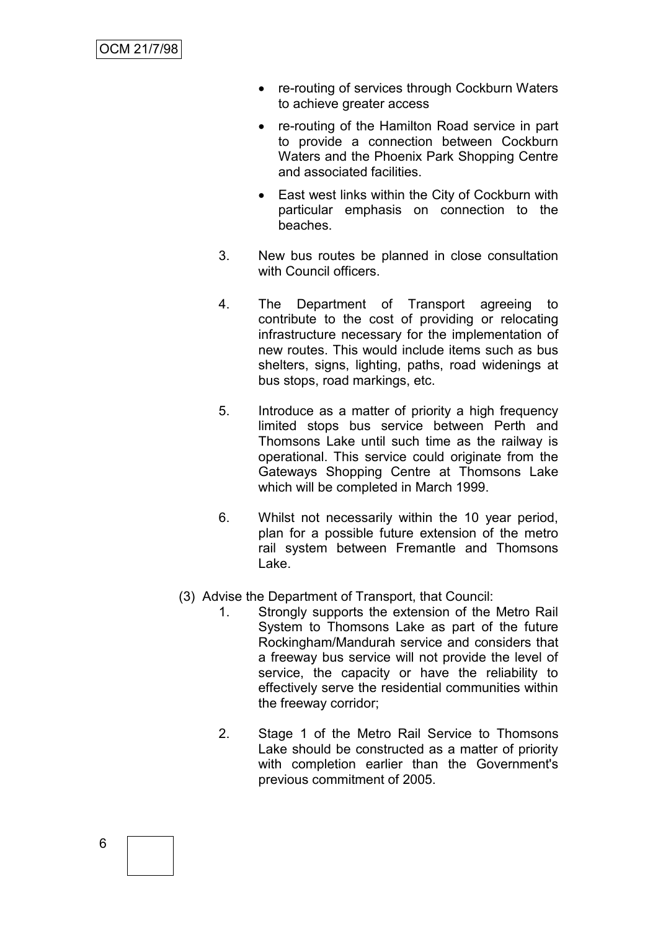- re-routing of services through Cockburn Waters to achieve greater access
- re-routing of the Hamilton Road service in part to provide a connection between Cockburn Waters and the Phoenix Park Shopping Centre and associated facilities.
- East west links within the City of Cockburn with particular emphasis on connection to the beaches.
- 3. New bus routes be planned in close consultation with Council officers.
- 4. The Department of Transport agreeing to contribute to the cost of providing or relocating infrastructure necessary for the implementation of new routes. This would include items such as bus shelters, signs, lighting, paths, road widenings at bus stops, road markings, etc.
- 5. Introduce as a matter of priority a high frequency limited stops bus service between Perth and Thomsons Lake until such time as the railway is operational. This service could originate from the Gateways Shopping Centre at Thomsons Lake which will be completed in March 1999.
- 6. Whilst not necessarily within the 10 year period, plan for a possible future extension of the metro rail system between Fremantle and Thomsons Lake.
- (3) Advise the Department of Transport, that Council:
	- 1. Strongly supports the extension of the Metro Rail System to Thomsons Lake as part of the future Rockingham/Mandurah service and considers that a freeway bus service will not provide the level of service, the capacity or have the reliability to effectively serve the residential communities within the freeway corridor;
	- 2. Stage 1 of the Metro Rail Service to Thomsons Lake should be constructed as a matter of priority with completion earlier than the Government's previous commitment of 2005.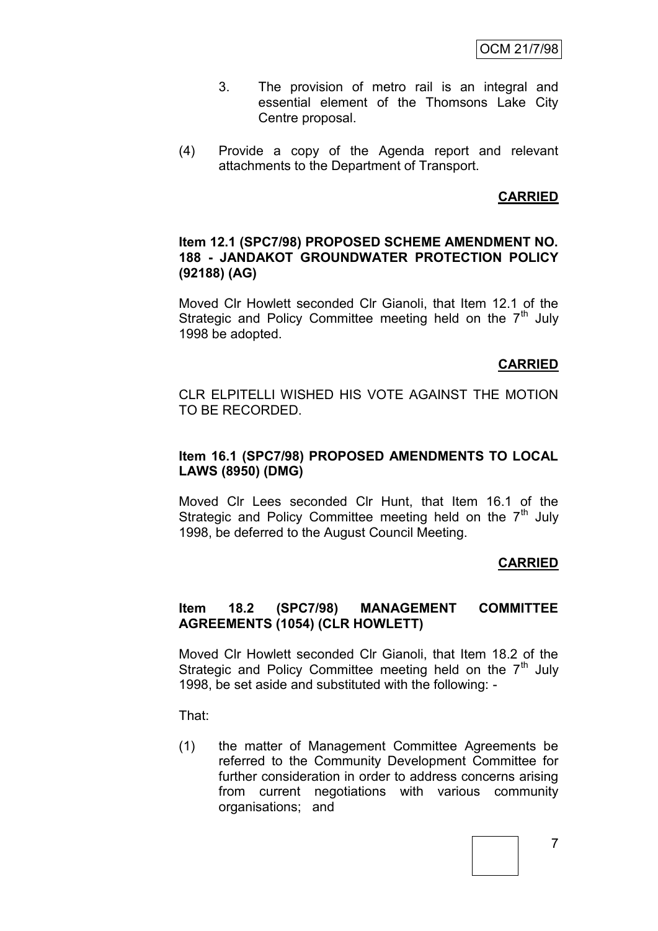- 3. The provision of metro rail is an integral and essential element of the Thomsons Lake City Centre proposal.
- (4) Provide a copy of the Agenda report and relevant attachments to the Department of Transport.

#### **CARRIED**

#### **Item 12.1 (SPC7/98) PROPOSED SCHEME AMENDMENT NO. 188 - JANDAKOT GROUNDWATER PROTECTION POLICY (92188) (AG)**

Moved Clr Howlett seconded Clr Gianoli, that Item 12.1 of the Strategic and Policy Committee meeting held on the  $7<sup>th</sup>$  July 1998 be adopted.

#### **CARRIED**

CLR ELPITELLI WISHED HIS VOTE AGAINST THE MOTION TO BE RECORDED.

#### **Item 16.1 (SPC7/98) PROPOSED AMENDMENTS TO LOCAL LAWS (8950) (DMG)**

Moved Clr Lees seconded Clr Hunt, that Item 16.1 of the Strategic and Policy Committee meeting held on the  $7<sup>th</sup>$  July 1998, be deferred to the August Council Meeting.

#### **CARRIED**

#### **Item 18.2 (SPC7/98) MANAGEMENT COMMITTEE AGREEMENTS (1054) (CLR HOWLETT)**

Moved Clr Howlett seconded Clr Gianoli, that Item 18.2 of the Strategic and Policy Committee meeting held on the  $7<sup>th</sup>$  July 1998, be set aside and substituted with the following: -

That:

(1) the matter of Management Committee Agreements be referred to the Community Development Committee for further consideration in order to address concerns arising from current negotiations with various community organisations; and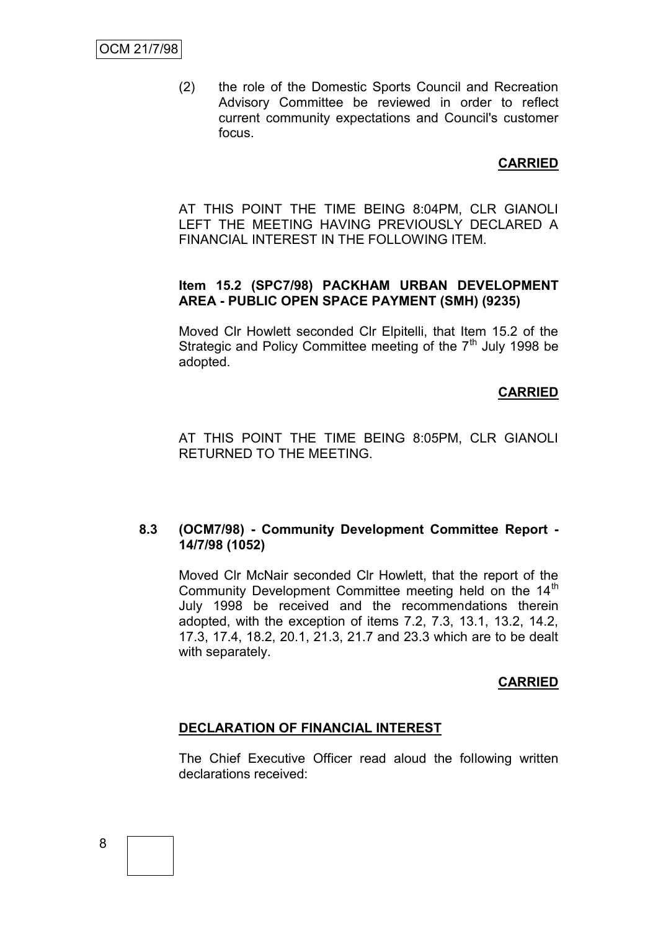(2) the role of the Domestic Sports Council and Recreation Advisory Committee be reviewed in order to reflect current community expectations and Council's customer focus.

**CARRIED**

AT THIS POINT THE TIME BEING 8:04PM, CLR GIANOLI LEFT THE MEETING HAVING PREVIOUSLY DECLARED A FINANCIAL INTEREST IN THE FOLLOWING ITEM.

# **Item 15.2 (SPC7/98) PACKHAM URBAN DEVELOPMENT AREA - PUBLIC OPEN SPACE PAYMENT (SMH) (9235)**

Moved Clr Howlett seconded Clr Elpitelli, that Item 15.2 of the Strategic and Policy Committee meeting of the  $7<sup>th</sup>$  July 1998 be adopted.

#### **CARRIED**

AT THIS POINT THE TIME BEING 8:05PM, CLR GIANOLI RETURNED TO THE MEETING.

#### **8.3 (OCM7/98) - Community Development Committee Report - 14/7/98 (1052)**

Moved Clr McNair seconded Clr Howlett, that the report of the Community Development Committee meeting held on the 14<sup>th</sup> July 1998 be received and the recommendations therein adopted, with the exception of items 7.2, 7.3, 13.1, 13.2, 14.2, 17.3, 17.4, 18.2, 20.1, 21.3, 21.7 and 23.3 which are to be dealt with separately.

#### **CARRIED**

#### **DECLARATION OF FINANCIAL INTEREST**

The Chief Executive Officer read aloud the following written declarations received: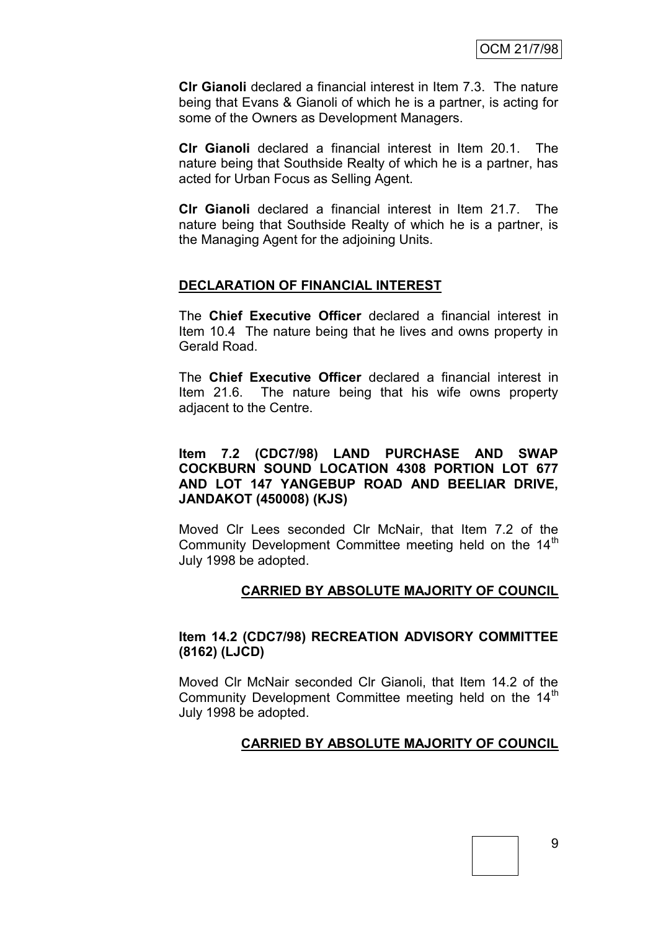**Clr Gianoli** declared a financial interest in Item 7.3. The nature being that Evans & Gianoli of which he is a partner, is acting for some of the Owners as Development Managers.

**Clr Gianoli** declared a financial interest in Item 20.1. The nature being that Southside Realty of which he is a partner, has acted for Urban Focus as Selling Agent.

**Clr Gianoli** declared a financial interest in Item 21.7. The nature being that Southside Realty of which he is a partner, is the Managing Agent for the adjoining Units.

#### **DECLARATION OF FINANCIAL INTEREST**

The **Chief Executive Officer** declared a financial interest in Item 10.4 The nature being that he lives and owns property in Gerald Road.

The **Chief Executive Officer** declared a financial interest in Item 21.6. The nature being that his wife owns property adjacent to the Centre.

#### **Item 7.2 (CDC7/98) LAND PURCHASE AND SWAP COCKBURN SOUND LOCATION 4308 PORTION LOT 677 AND LOT 147 YANGEBUP ROAD AND BEELIAR DRIVE, JANDAKOT (450008) (KJS)**

Moved Clr Lees seconded Clr McNair, that Item 7.2 of the Community Development Committee meeting held on the 14<sup>th</sup> July 1998 be adopted.

#### **CARRIED BY ABSOLUTE MAJORITY OF COUNCIL**

#### **Item 14.2 (CDC7/98) RECREATION ADVISORY COMMITTEE (8162) (LJCD)**

Moved Clr McNair seconded Clr Gianoli, that Item 14.2 of the Community Development Committee meeting held on the  $14<sup>th</sup>$ July 1998 be adopted.

#### **CARRIED BY ABSOLUTE MAJORITY OF COUNCIL**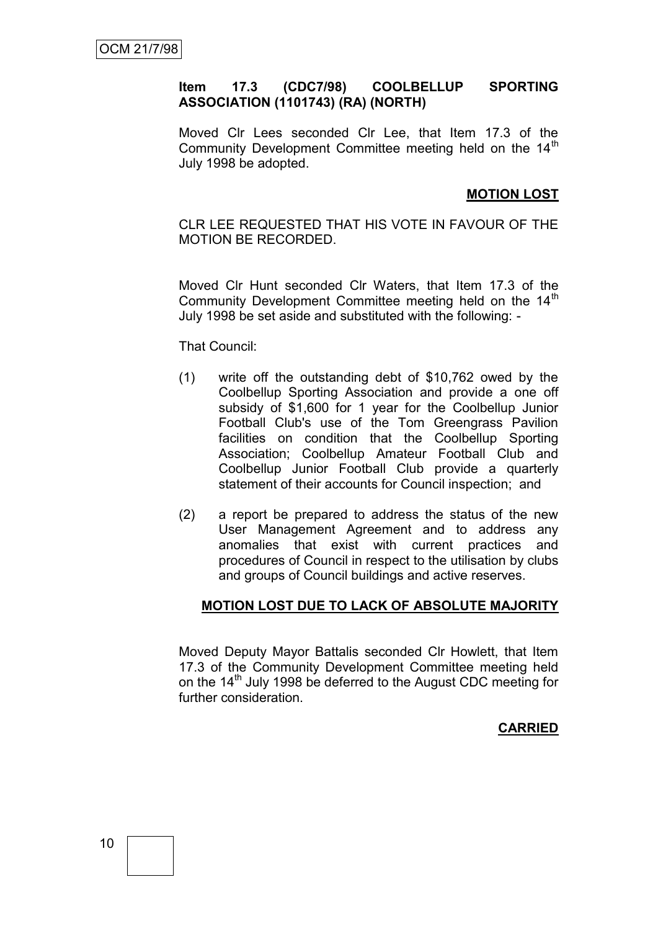#### **Item 17.3 (CDC7/98) COOLBELLUP SPORTING ASSOCIATION (1101743) (RA) (NORTH)**

Moved Clr Lees seconded Clr Lee, that Item 17.3 of the Community Development Committee meeting held on the 14<sup>th</sup> July 1998 be adopted.

#### **MOTION LOST**

CLR LEE REQUESTED THAT HIS VOTE IN FAVOUR OF THE MOTION BE RECORDED.

Moved Clr Hunt seconded Clr Waters, that Item 17.3 of the Community Development Committee meeting held on the 14<sup>th</sup> July 1998 be set aside and substituted with the following: -

That Council:

- (1) write off the outstanding debt of \$10,762 owed by the Coolbellup Sporting Association and provide a one off subsidy of \$1,600 for 1 year for the Coolbellup Junior Football Club's use of the Tom Greengrass Pavilion facilities on condition that the Coolbellup Sporting Association; Coolbellup Amateur Football Club and Coolbellup Junior Football Club provide a quarterly statement of their accounts for Council inspection; and
- (2) a report be prepared to address the status of the new User Management Agreement and to address any anomalies that exist with current practices and procedures of Council in respect to the utilisation by clubs and groups of Council buildings and active reserves.

#### **MOTION LOST DUE TO LACK OF ABSOLUTE MAJORITY**

Moved Deputy Mayor Battalis seconded Clr Howlett, that Item 17.3 of the Community Development Committee meeting held on the 14<sup>th</sup> July 1998 be deferred to the August CDC meeting for further consideration.

# **CARRIED**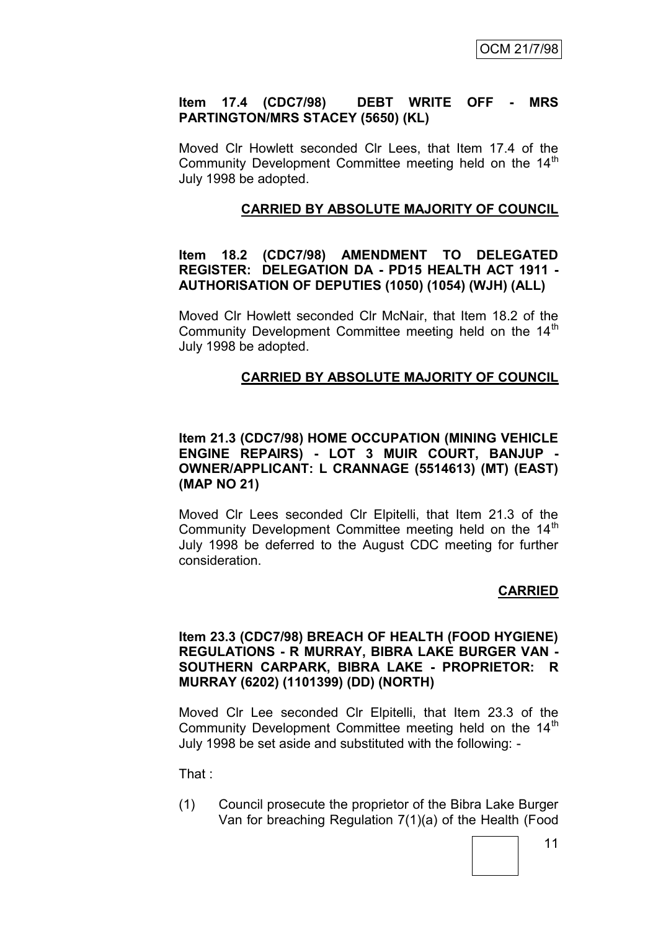#### **Item 17.4 (CDC7/98) DEBT WRITE OFF - MRS PARTINGTON/MRS STACEY (5650) (KL)**

Moved Clr Howlett seconded Clr Lees, that Item 17.4 of the Community Development Committee meeting held on the 14<sup>th</sup> July 1998 be adopted.

#### **CARRIED BY ABSOLUTE MAJORITY OF COUNCIL**

#### **Item 18.2 (CDC7/98) AMENDMENT TO DELEGATED REGISTER: DELEGATION DA - PD15 HEALTH ACT 1911 - AUTHORISATION OF DEPUTIES (1050) (1054) (WJH) (ALL)**

Moved Clr Howlett seconded Clr McNair, that Item 18.2 of the Community Development Committee meeting held on the  $14<sup>th</sup>$ July 1998 be adopted.

#### **CARRIED BY ABSOLUTE MAJORITY OF COUNCIL**

#### **Item 21.3 (CDC7/98) HOME OCCUPATION (MINING VEHICLE ENGINE REPAIRS) - LOT 3 MUIR COURT, BANJUP - OWNER/APPLICANT: L CRANNAGE (5514613) (MT) (EAST) (MAP NO 21)**

Moved Clr Lees seconded Clr Elpitelli, that Item 21.3 of the Community Development Committee meeting held on the 14<sup>th</sup> July 1998 be deferred to the August CDC meeting for further consideration.

#### **CARRIED**

#### **Item 23.3 (CDC7/98) BREACH OF HEALTH (FOOD HYGIENE) REGULATIONS - R MURRAY, BIBRA LAKE BURGER VAN - SOUTHERN CARPARK, BIBRA LAKE - PROPRIETOR: R MURRAY (6202) (1101399) (DD) (NORTH)**

Moved Clr Lee seconded Clr Elpitelli, that Item 23.3 of the Community Development Committee meeting held on the 14<sup>th</sup> July 1998 be set aside and substituted with the following: -

That :

(1) Council prosecute the proprietor of the Bibra Lake Burger Van for breaching Regulation 7(1)(a) of the Health (Food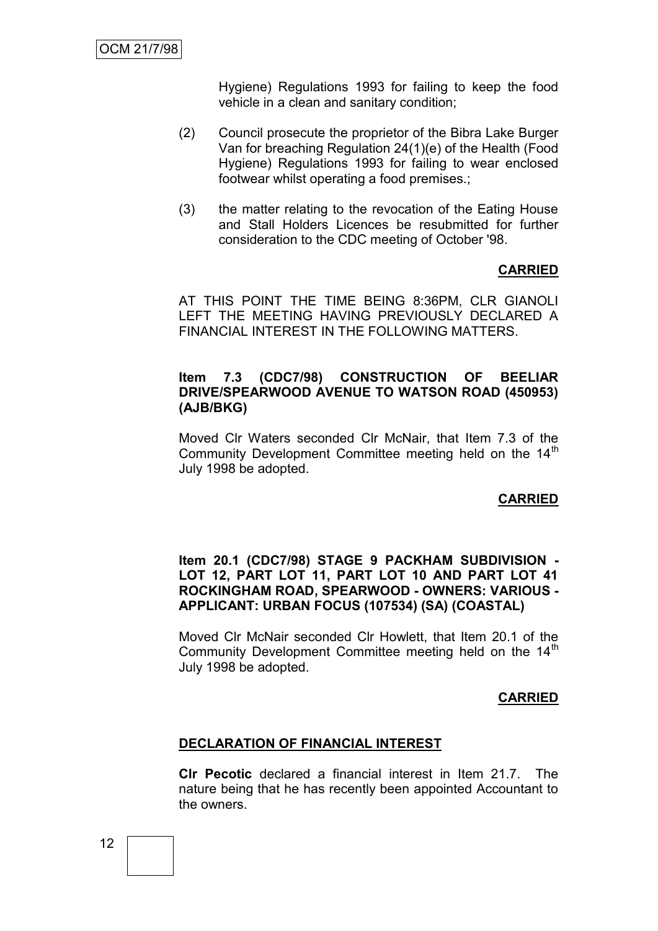Hygiene) Regulations 1993 for failing to keep the food vehicle in a clean and sanitary condition;

- (2) Council prosecute the proprietor of the Bibra Lake Burger Van for breaching Regulation 24(1)(e) of the Health (Food Hygiene) Regulations 1993 for failing to wear enclosed footwear whilst operating a food premises.;
- (3) the matter relating to the revocation of the Eating House and Stall Holders Licences be resubmitted for further consideration to the CDC meeting of October '98.

#### **CARRIED**

AT THIS POINT THE TIME BEING 8:36PM, CLR GIANOLI LEFT THE MEETING HAVING PREVIOUSLY DECLARED A FINANCIAL INTEREST IN THE FOLLOWING MATTERS.

#### **Item 7.3 (CDC7/98) CONSTRUCTION OF BEELIAR DRIVE/SPEARWOOD AVENUE TO WATSON ROAD (450953) (AJB/BKG)**

Moved Clr Waters seconded Clr McNair, that Item 7.3 of the Community Development Committee meeting held on the  $14<sup>th</sup>$ July 1998 be adopted.

#### **CARRIED**

#### **Item 20.1 (CDC7/98) STAGE 9 PACKHAM SUBDIVISION - LOT 12, PART LOT 11, PART LOT 10 AND PART LOT 41 ROCKINGHAM ROAD, SPEARWOOD - OWNERS: VARIOUS - APPLICANT: URBAN FOCUS (107534) (SA) (COASTAL)**

Moved Clr McNair seconded Clr Howlett, that Item 20.1 of the Community Development Committee meeting held on the 14<sup>th</sup> July 1998 be adopted.

#### **CARRIED**

#### **DECLARATION OF FINANCIAL INTEREST**

**Clr Pecotic** declared a financial interest in Item 21.7. The nature being that he has recently been appointed Accountant to the owners.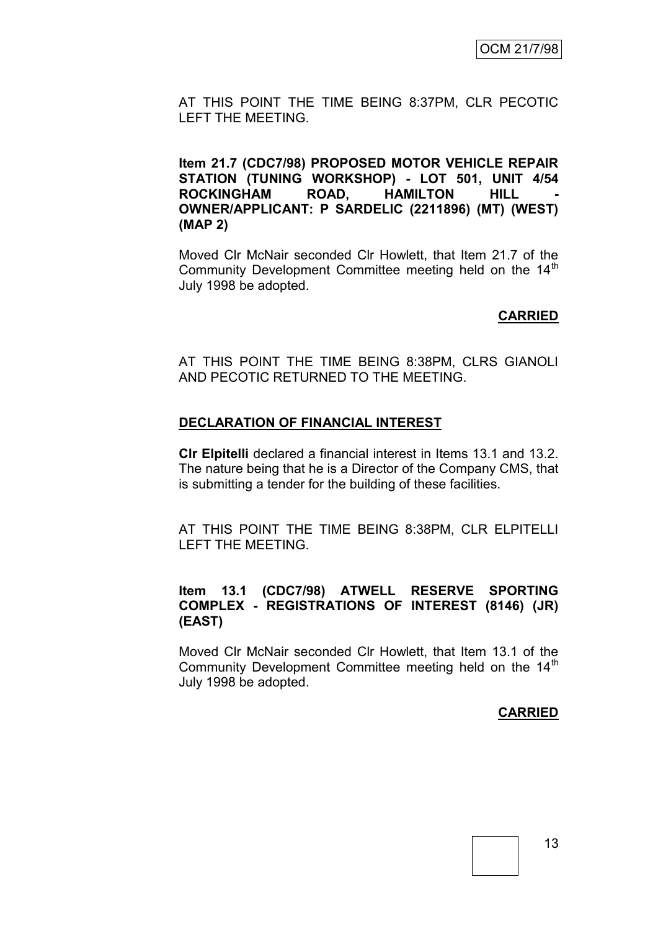AT THIS POINT THE TIME BEING 8:37PM, CLR PECOTIC LEFT THE MEETING.

**Item 21.7 (CDC7/98) PROPOSED MOTOR VEHICLE REPAIR STATION (TUNING WORKSHOP) - LOT 501, UNIT 4/54**  ROCKINGHAM ROAD, HAMILTON HILL **OWNER/APPLICANT: P SARDELIC (2211896) (MT) (WEST) (MAP 2)**

Moved Clr McNair seconded Clr Howlett, that Item 21.7 of the Community Development Committee meeting held on the 14<sup>th</sup> July 1998 be adopted.

#### **CARRIED**

AT THIS POINT THE TIME BEING 8:38PM, CLRS GIANOLI AND PECOTIC RETURNED TO THE MEETING.

#### **DECLARATION OF FINANCIAL INTEREST**

**Clr Elpitelli** declared a financial interest in Items 13.1 and 13.2. The nature being that he is a Director of the Company CMS, that is submitting a tender for the building of these facilities.

AT THIS POINT THE TIME BEING 8:38PM, CLR ELPITELLI LEFT THE MEETING.

#### **Item 13.1 (CDC7/98) ATWELL RESERVE SPORTING COMPLEX - REGISTRATIONS OF INTEREST (8146) (JR) (EAST)**

Moved Clr McNair seconded Clr Howlett, that Item 13.1 of the Community Development Committee meeting held on the  $14<sup>th</sup>$ July 1998 be adopted.

#### **CARRIED**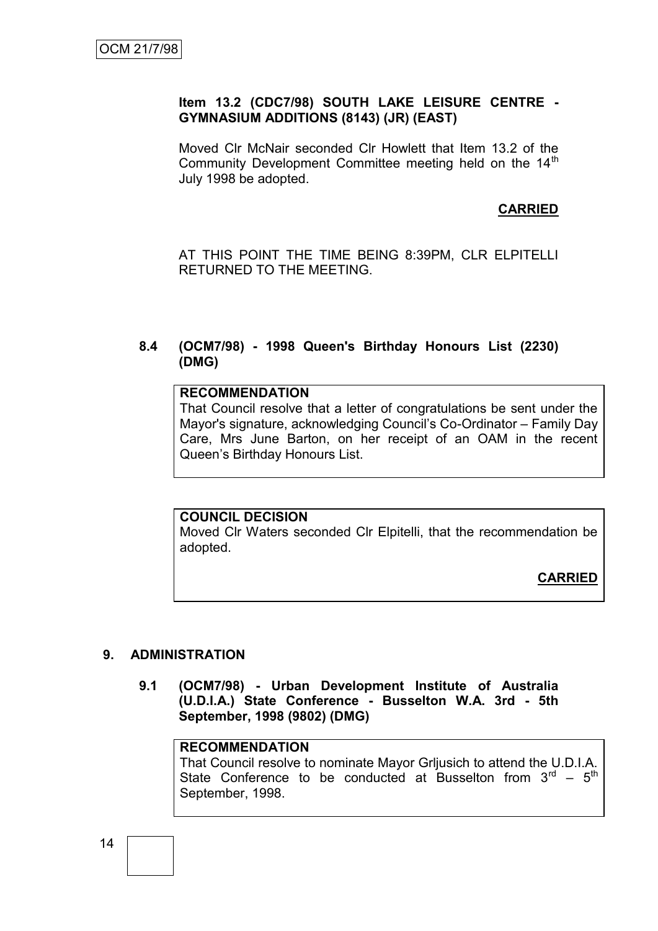#### **Item 13.2 (CDC7/98) SOUTH LAKE LEISURE CENTRE - GYMNASIUM ADDITIONS (8143) (JR) (EAST)**

Moved Clr McNair seconded Clr Howlett that Item 13.2 of the Community Development Committee meeting held on the 14<sup>th</sup> July 1998 be adopted.

#### **CARRIED**

AT THIS POINT THE TIME BEING 8:39PM, CLR ELPITELLI RETURNED TO THE MEETING.

#### **8.4 (OCM7/98) - 1998 Queen's Birthday Honours List (2230) (DMG)**

#### **RECOMMENDATION**

That Council resolve that a letter of congratulations be sent under the Mayor's signature, acknowledging Council's Co-Ordinator – Family Day Care, Mrs June Barton, on her receipt of an OAM in the recent Queen's Birthday Honours List.

#### **COUNCIL DECISION**

Moved Clr Waters seconded Clr Elpitelli, that the recommendation be adopted.

**CARRIED**

#### **9. ADMINISTRATION**

**9.1 (OCM7/98) - Urban Development Institute of Australia (U.D.I.A.) State Conference - Busselton W.A. 3rd - 5th September, 1998 (9802) (DMG)**

#### **RECOMMENDATION**

That Council resolve to nominate Mayor Grljusich to attend the U.D.I.A. State Conference to be conducted at Busselton from  $3<sup>rd</sup> - 5<sup>th</sup>$ September, 1998.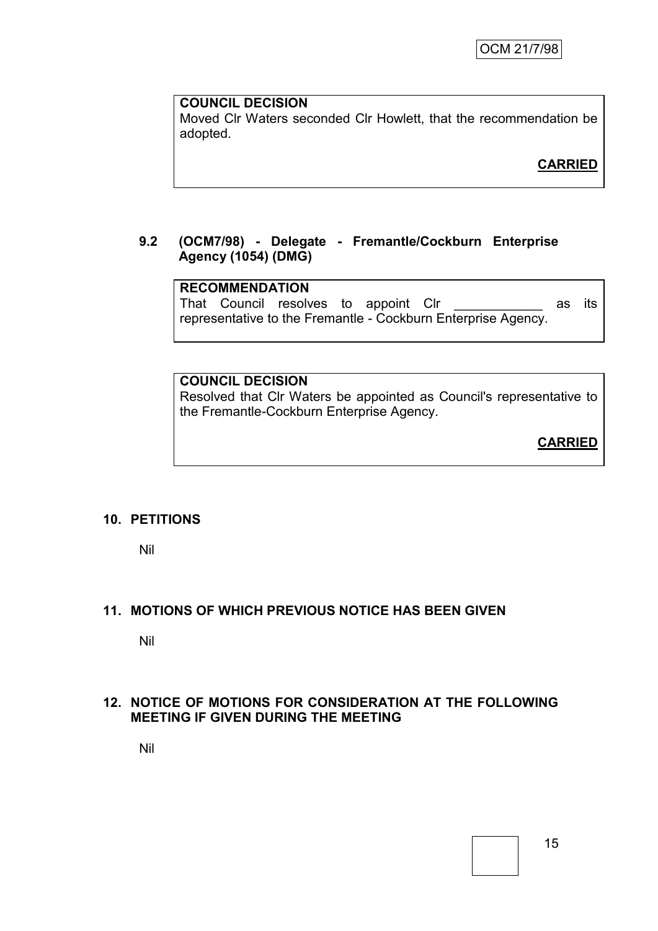# **COUNCIL DECISION**

Moved Clr Waters seconded Clr Howlett, that the recommendation be adopted.

**CARRIED**

# **9.2 (OCM7/98) - Delegate - Fremantle/Cockburn Enterprise Agency (1054) (DMG)**

# **RECOMMENDATION**

That Council resolves to appoint Clr **with the contract contract contract** as its representative to the Fremantle - Cockburn Enterprise Agency.

# **COUNCIL DECISION**

Resolved that Clr Waters be appointed as Council's representative to the Fremantle-Cockburn Enterprise Agency.

**CARRIED**

# **10. PETITIONS**

Nil

# **11. MOTIONS OF WHICH PREVIOUS NOTICE HAS BEEN GIVEN**

Nil

#### **12. NOTICE OF MOTIONS FOR CONSIDERATION AT THE FOLLOWING MEETING IF GIVEN DURING THE MEETING**

Nil